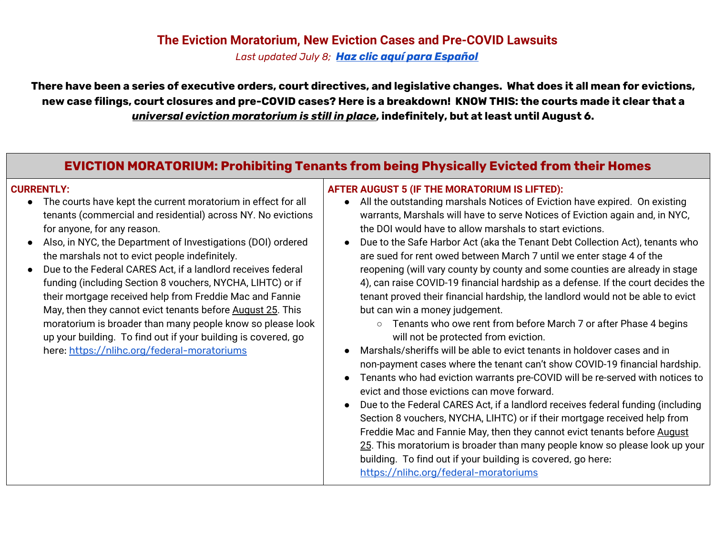### **The Eviction Moratorium, New Eviction Cases and Pre-COVID Lawsuits**

*Last updated July 8; Haz clic aquí para [Español](https://docs.google.com/document/d/1uzT1lduZAzNLpy_WxSOU1oSOTOPs0YrWekzLd8o6tAs/edit?usp=sharing)*

There have been a series of executive orders, court directives, and legislative changes. What does it all mean for evictions, new case filings, court closures and pre-COVID cases? Here is a breakdown! KNOW THIS: the courts made it clear that a *universal eviction moratorium is still in place***, indefinitely, but at least until August 6.**

# **EVICTION MORATORIUM: Prohibiting Tenants from being Physically Evicted from their Homes**

#### **CURRENTLY:**

- The courts have kept the current moratorium in effect for all tenants (commercial and residential) across NY. No evictions for anyone, for any reason.
- Also, in NYC, the Department of Investigations (DOI) ordered the marshals not to evict people indefinitely.
- Due to the Federal CARES Act, if a landlord receives federal funding (including Section 8 vouchers, NYCHA, LIHTC) or if their mortgage received help from Freddie Mac and Fannie May, then they cannot evict tenants before August 25. This moratorium is broader than many people know so please look up your building. To find out if your building is covered, go here: <https://nlihc.org/federal-moratoriums>

#### **AFTER AUGUST 5 (IF THE MORATORIUM IS LIFTED):**

- All the outstanding marshals Notices of Eviction have expired. On existing warrants, Marshals will have to serve Notices of Eviction again and, in NYC, the DOI would have to allow marshals to start evictions.
- Due to the Safe Harbor Act (aka the Tenant Debt Collection Act), tenants who are sued for rent owed between March 7 until we enter stage 4 of the reopening (will vary county by county and some counties are already in stage 4), can raise COVID-19 financial hardship as a defense. If the court decides the tenant proved their financial hardship, the landlord would not be able to evict but can win a money judgement.
	- Tenants who owe rent from before March 7 or after Phase 4 begins will not be protected from eviction.
- Marshals/sheriffs will be able to evict tenants in holdover cases and in non-payment cases where the tenant can't show COVID-19 financial hardship.
- Tenants who had eviction warrants pre-COVID will be re-served with notices to evict and those evictions can move forward.
- Due to the Federal CARES Act, if a landlord receives federal funding (including Section 8 vouchers, NYCHA, LIHTC) or if their mortgage received help from Freddie Mac and Fannie May, then they cannot evict tenants before August 25. This moratorium is broader than many people know so please look up your building. To find out if your building is covered, go here: <https://nlihc.org/federal-moratoriums>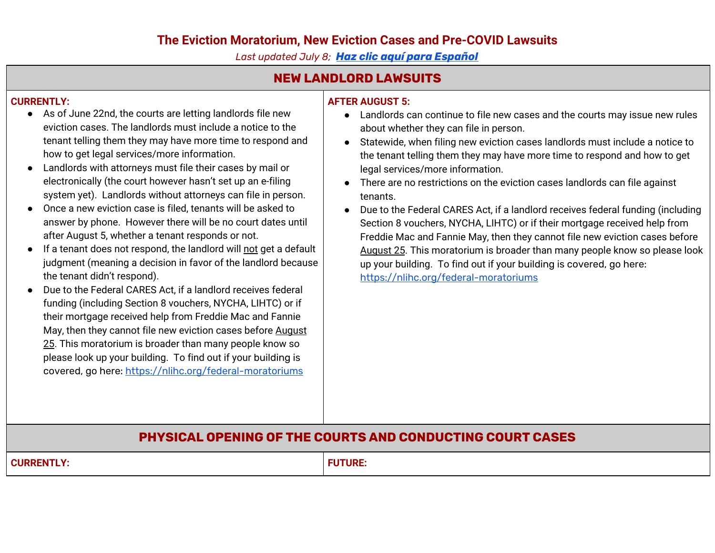### **The Eviction Moratorium, New Eviction Cases and Pre-COVID Lawsuits**

*Last updated July 8; Haz clic aquí para [Español](https://docs.google.com/document/d/1uzT1lduZAzNLpy_WxSOU1oSOTOPs0YrWekzLd8o6tAs/edit?usp=sharing)*

## **NEW LANDLORD LAWSUITS**

#### **CURRENTLY:**

- As of June 22nd, the courts are letting landlords file new eviction cases. The landlords must include a notice to the tenant telling them they may have more time to respond and how to get legal services/more information.
- Landlords with attorneys must file their cases by mail or electronically (the court however hasn't set up an e-filing system yet). Landlords without attorneys can file in person.
- Once a new eviction case is filed, tenants will be asked to answer by phone. However there will be no court dates until after August 5, whether a tenant responds or not.
- If a tenant does not respond, the landlord will not get a default judgment (meaning a decision in favor of the landlord because the tenant didn't respond).
- Due to the Federal CARES Act, if a landlord receives federal funding (including Section 8 vouchers, NYCHA, LIHTC) or if their mortgage received help from Freddie Mac and Fannie May, then they cannot file new eviction cases before August 25. This moratorium is broader than many people know so please look up your building. To find out if your building is covered, go here: <https://nlihc.org/federal-moratoriums>

### **AFTER AUGUST 5:**

- Landlords can continue to file new cases and the courts may issue new rules about whether they can file in person.
- Statewide, when filing new eviction cases landlords must include a notice to the tenant telling them they may have more time to respond and how to get legal services/more information.
- There are no restrictions on the eviction cases landlords can file against tenants.
- Due to the Federal CARES Act, if a landlord receives federal funding (including Section 8 vouchers, NYCHA, LIHTC) or if their mortgage received help from Freddie Mac and Fannie May, then they cannot file new eviction cases before August 25. This moratorium is broader than many people know so please look up your building. To find out if your building is covered, go here: <https://nlihc.org/federal-moratoriums>

# **PHYSICAL OPENING OF THE COURTS AND CONDUCTING COURT CASES**

**CURRENTLY: FUTURE:**